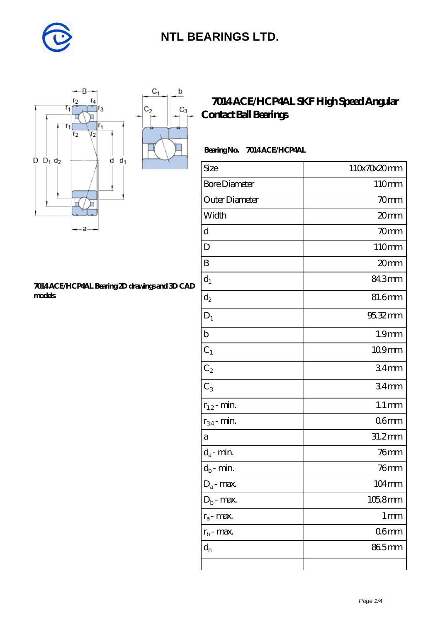

 $C_1$ 

 $\mathbf b$ 

П

 $C_3$ 



#### **[7014 ACE/HCP4AL Bearing 2D drawings and 3D CAD](https://m.diabetesfriends.net/pic-590828.html) [models](https://m.diabetesfriends.net/pic-590828.html)**

### **[7014 ACE/HCP4AL SKF High Speed Angular](https://m.diabetesfriends.net/skf-bearing/7014-ace-hcp4al.html) [Contact Ball Bearings](https://m.diabetesfriends.net/skf-bearing/7014-ace-hcp4al.html)**

### **Bearing No. 7014 ACE/HCP4AL**

| Size                 | 110x70x20mm         |
|----------------------|---------------------|
| <b>Bore Diameter</b> | 110mm               |
| Outer Diameter       | 70mm                |
| Width                | 20mm                |
| d                    | 70mm                |
| D                    | 110mm               |
| B                    | 20mm                |
| $d_1$                | 843mm               |
| $\mathrm{d}_2$       | 81.6mm              |
| $D_1$                | 95.32mm             |
| $\mathbf b$          | 1.9 <sub>mm</sub>   |
| $C_1$                | 109mm               |
| $C_2$                | 34 <sub>mm</sub>    |
| $C_3$                | 34 <sub>mm</sub>    |
| $r_{1,2}$ - min.     | $1.1 \,\mathrm{mm}$ |
| $r_{34}$ - min.      | 06 <sub>mm</sub>    |
| a                    | 31.2mm              |
| $d_a$ - min.         | $76$ mm             |
| $d_b$ - min.         | $76$ mm             |
| $D_a$ - max.         | 104mm               |
| $D_b$ - max.         | 105.8mm             |
| $r_a$ - max.         | $1 \,\mathrm{mm}$   |
| $r_{b}$ - max.       | 06 <sub>mm</sub>    |
| $d_{n}$              | 865mm               |
|                      |                     |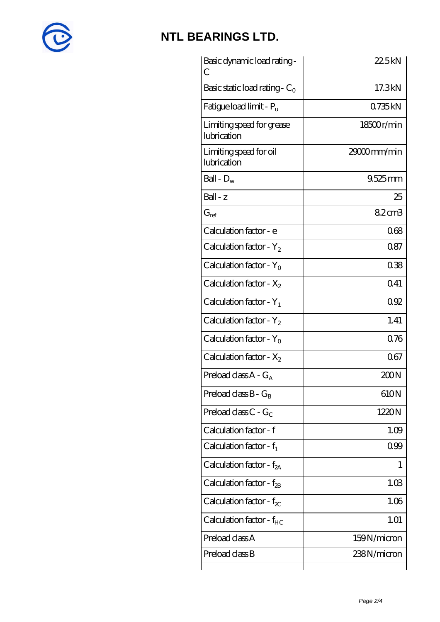

| Basic dynamic load rating -<br>С         | 22.5kN        |
|------------------------------------------|---------------|
| Basic static load rating - $C_0$         | 17.3kN        |
| Fatigue load limit - $P_{\rm u}$         | 0735kN        |
| Limiting speed for grease<br>lubrication | 18500r/min    |
| Limiting speed for oil<br>lubrication    | $2900$ mm/min |
| Ball - $D_w$                             | $9.525$ mm    |
| $Ball - z$                               | 25            |
| $G_{\text{ref}}$                         | 82cm3         |
| Calculation factor - e                   | 068           |
| Calculation factor - $Y_2$               | 0.87          |
| Calculation factor - $Y_0$               | 038           |
| Calculation factor - $X_2$               | Q41           |
| Calculation factor - $Y_1$               | 092           |
| Calculation factor - $Y_2$               | 1.41          |
| Calculation factor - $Y_0$               | 0.76          |
| Calculation factor - $X_2$               | 067           |
| Preload class $A - G_A$                  | 200N          |
| Preload class $B - G_B$                  | 610N          |
| Preload class $C - G_C$                  | 1220N         |
| Calculation factor - f                   | 1.09          |
| Calculation factor - $f_1$               | 099           |
| Calculation factor - $f_{2A}$            | 1             |
| Calculation factor - $f_{\rm 2B}$        | 1.03          |
| Calculation factor - $f_{\chi}$          | 1.06          |
| Calculation factor - $f_{HC}$            | 1.01          |
| Preload class A                          | 159N/micron   |
| Preload class B                          | 238N/micron   |
|                                          |               |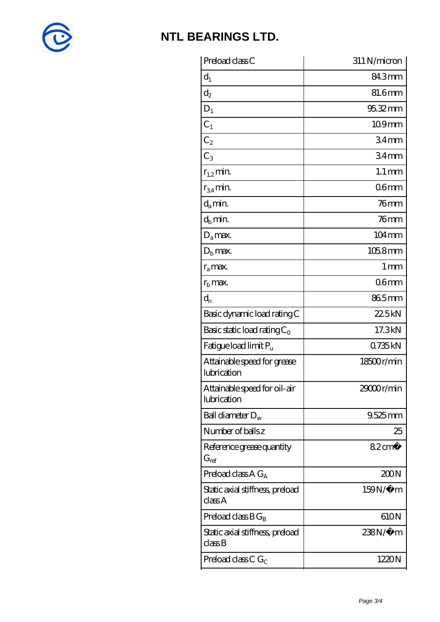

| Preload class C                                          | 311 N/micron        |
|----------------------------------------------------------|---------------------|
| $d_1$                                                    | 84.3mm              |
| $\mathrm{d}_2$                                           | 81.6mm              |
| $D_1$                                                    | 95.32mm             |
| $C_1$                                                    | 109mm               |
| $C_2$                                                    | 34 <sub>mm</sub>    |
| $C_3$                                                    | 34 <sub>mm</sub>    |
| $r_{1,2}$ min.                                           | $1.1 \,\mathrm{mm}$ |
| $r_{34}$ min.                                            | 06 <sub>mm</sub>    |
| $d_a$ min.                                               | $76$ mm             |
| $d_b$ min.                                               | $76$ mm             |
| $D_a$ max.                                               | $104 \,\mathrm{mm}$ |
| $D_{\rm b}$ max.                                         | 105.8mm             |
| $r_a$ max.                                               | $1 \,\mathrm{mm}$   |
| $r_{\rm b}$ max.                                         | 06mm                |
| $d_{n}$                                                  | 865mm               |
| Basic dynamic load rating C                              | 22.5kN              |
| Basic static load rating $C_0$                           | 17.3kN              |
| Fatigue load limit P <sub>u</sub>                        | 0735kN              |
| Attainable speed for grease<br>lubrication               | 18500r/min          |
| Attainable speed for oil-air<br>lubrication              | 29000r/min          |
| Ball diameter $D_w$                                      | 9.525mm             |
| Number of balls z                                        | 25                  |
| Reference grease quantity<br>$\mathrm{G}_{\mathrm{ref}}$ | $82 \text{cm}^3$    |
| Preload class $A G_A$                                    | 200N                |
| Static axial stiffness, preload<br>classA                | 159N/μ m            |
| Preload class $BG_B$                                     | 610N                |
| Static axial stiffness, preload<br>classB                | 238N/µ m            |
| Preload class C $G_C$                                    | 1220N               |